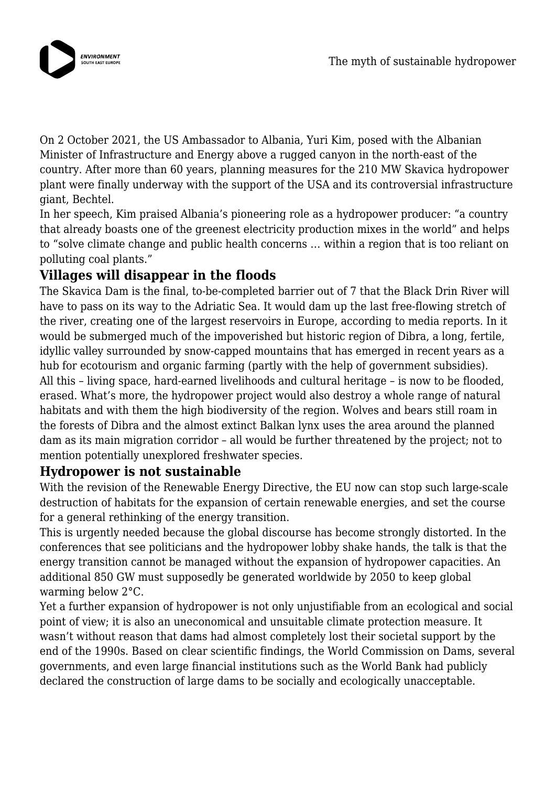

On 2 October 2021, the US Ambassador to Albania, Yuri Kim, posed with the Albanian Minister of Infrastructure and Energy above a rugged canyon in the north-east of the country. After more than 60 years, planning measures for the 210 MW Skavica hydropower plant were finally underway with the support of the USA and its controversial infrastructure giant, Bechtel.

In her speech, Kim praised Albania's pioneering role as a hydropower producer: "a country that already boasts one of the greenest electricity production mixes in the world" and helps to "solve climate change and public health concerns … within a region that is too reliant on polluting coal plants."

## **Villages will disappear in the floods**

The Skavica Dam is the final, to-be-completed barrier out of 7 that the Black Drin River will have to pass on its way to the Adriatic Sea. It would dam up the last free-flowing stretch of the river, creating one of the largest reservoirs in Europe, according to media reports. In it would be submerged much of the impoverished but historic region of Dibra, a long, fertile, idyllic valley surrounded by snow-capped mountains that has emerged in recent years as a hub for ecotourism and organic farming (partly with the help of government subsidies). All this – living space, hard-earned livelihoods and cultural heritage – is now to be flooded, erased. What's more, the hydropower project would also destroy a whole range of natural habitats and with them the high biodiversity of the region. Wolves and bears still roam in the forests of Dibra and the almost extinct Balkan lynx uses the area around the planned dam as its main migration corridor – all would be further threatened by the project; not to mention potentially unexplored freshwater species.

## **Hydropower is not sustainable**

With the revision of the Renewable Energy Directive, the EU now can stop such large-scale destruction of habitats for the expansion of certain renewable energies, and set the course for a general rethinking of the energy transition.

This is urgently needed because the global discourse has become strongly distorted. In the conferences that see politicians and the hydropower lobby shake hands, the talk is that the energy transition cannot be managed without the expansion of hydropower capacities. An additional 850 GW must supposedly be generated worldwide by 2050 to keep global warming below 2°C.

Yet a further expansion of hydropower is not only unjustifiable from an ecological and social point of view; it is also an uneconomical and unsuitable climate protection measure. It wasn't without reason that dams had almost completely lost their societal support by the end of the 1990s. Based on clear scientific findings, the World Commission on Dams, several governments, and even large financial institutions such as the World Bank had publicly declared the construction of large dams to be socially and ecologically unacceptable.